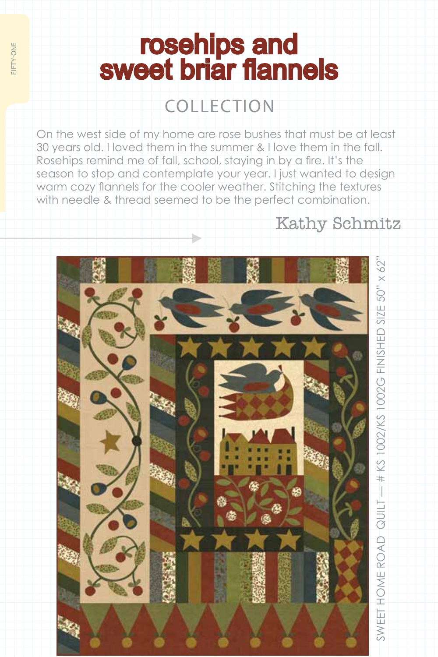## **rosehips and<br>sweet briar flannels**

## collection

On the west side of my home are rose bushes that must be at least 30 years old. I loved them in the summer & I love them in the fall. Rosehips remind me of fall, school, staying in by a fire. It's the season to stop and contemplate your year. I just wanted to design warm cozy flannels for the cooler weather. Stitching the textures with needle & thread seemed to be the perfect combination.

## Kathy Schmitz

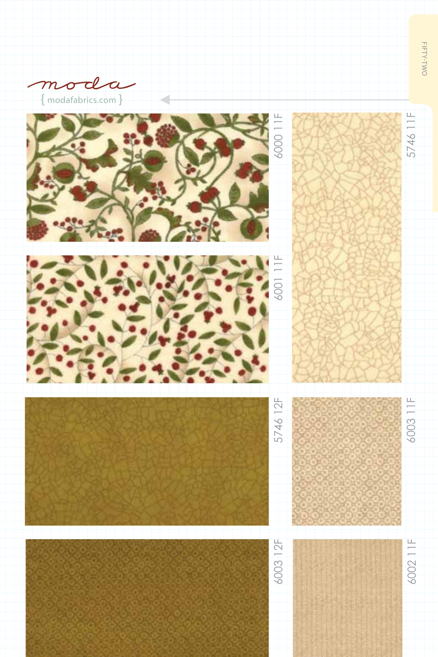







FIFTY-TWO fifty-two

5746 11F

5746 11F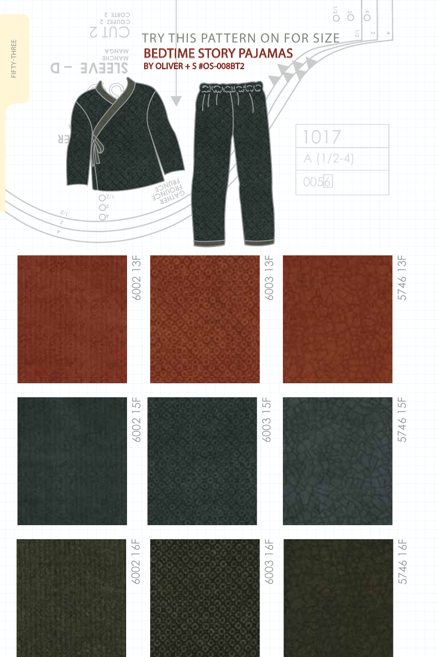## Try this pat tern on for size bedtime story pajamas by oliver + s #os-008bt2

**4**

**4 2 1/2**

**1/2**

A (1/2-4)

017

0056



CORIE 3<br>COMPEZ 2<br>COMPEZ 2

**2**

fifty-three

FIFTY-THREE

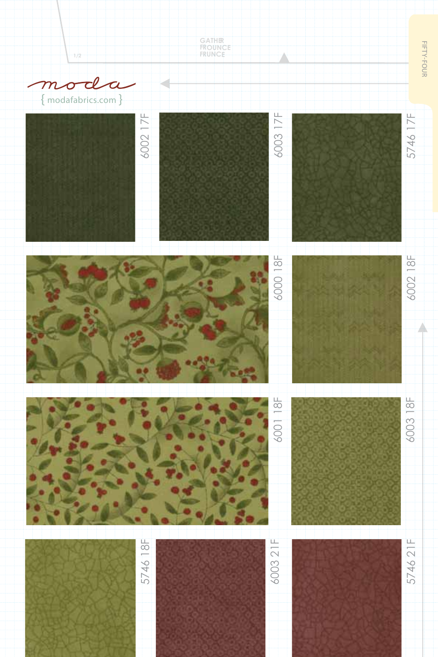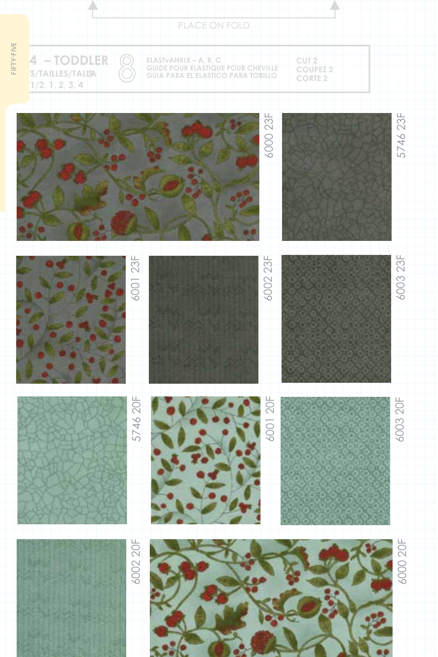|            | PLACE ON FOLD                                      |                   |                                                                                                   |          |                                     |          |
|------------|----------------------------------------------------|-------------------|---------------------------------------------------------------------------------------------------|----------|-------------------------------------|----------|
| FIFTY-FIVE | 4 - TODDLER<br>S/TAILLES/TALISA<br>1/2, 1, 2, 3, 4 | $\widehat{\odot}$ | ELASTVANKLE – A, B, C<br>GUIDE POUR ELASTIQUE POUR CHEVILLE<br>GUIA PARA EL ELASTICO PARA TOBILLO |          | CUT 2<br>COUPEZ 2<br><b>CORTE 2</b> |          |
|            |                                                    |                   |                                                                                                   | 6000 23F |                                     | 5746 23F |
|            |                                                    | 6001 23F          |                                                                                                   | 6002 23F |                                     | 6003 23F |
|            |                                                    | 5746 20F          |                                                                                                   | 6001 20F |                                     | 6003 20F |
|            |                                                    | 6002 20F          |                                                                                                   |          |                                     | 6000 20F |

seale

Neo